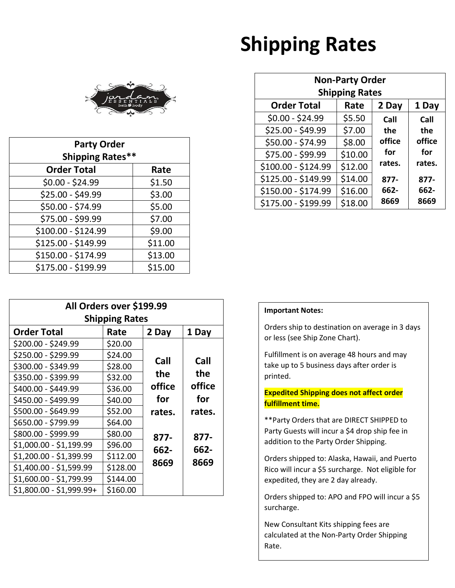

| <b>Party Order</b><br><b>Shipping Rates**</b> |         |  |  |
|-----------------------------------------------|---------|--|--|
| <b>Order Total</b>                            | Rate    |  |  |
| $$0.00 - $24.99$                              | \$1.50  |  |  |
| \$25.00 - \$49.99                             | \$3.00  |  |  |
| \$50.00 - \$74.99                             | \$5.00  |  |  |
| \$75.00 - \$99.99                             | \$7.00  |  |  |
| \$100.00 - \$124.99                           | \$9.00  |  |  |
| \$125.00 - \$149.99                           | \$11.00 |  |  |
| \$150.00 - \$174.99                           | \$13.00 |  |  |
| \$175.00 - \$199.99                           | \$15.00 |  |  |

## **Shipping Rates**

| <b>Non-Party Order</b><br><b>Shipping Rates</b> |         |        |        |  |
|-------------------------------------------------|---------|--------|--------|--|
| <b>Order Total</b>                              | Rate    | 2 Day  | 1 Day  |  |
| $$0.00 - $24.99$                                | \$5.50  | Call   | Call   |  |
| \$25.00 - \$49.99                               | \$7.00  | the    | the    |  |
| \$50.00 - \$74.99                               | \$8.00  | office | office |  |
| \$75.00 - \$99.99                               | \$10.00 | for    | for    |  |
| \$100.00 - \$124.99                             | \$12.00 | rates. | rates. |  |
| \$125.00 - \$149.99                             | \$14.00 | 877-   | 877-   |  |
| \$150.00 - \$174.99                             | \$16.00 | 662-   | 662-   |  |
| \$175.00 - \$199.99                             | \$18.00 | 8669   | 8669   |  |

| All Orders over \$199.99 |          |        |        |  |  |
|--------------------------|----------|--------|--------|--|--|
| <b>Shipping Rates</b>    |          |        |        |  |  |
| <b>Order Total</b>       | Rate     | 2 Day  | 1 Day  |  |  |
| \$200.00 - \$249.99      | \$20.00  |        |        |  |  |
| \$250.00 - \$299.99      | \$24.00  |        | Call   |  |  |
| \$300.00 - \$349.99      | \$28.00  | Call   |        |  |  |
| \$350.00 - \$399.99      | \$32.00  | the    | the    |  |  |
| \$400.00 - \$449.99      | \$36.00  | office | office |  |  |
| \$450.00 - \$499.99      | \$40.00  | for    | for    |  |  |
| \$500.00 - \$649.99      | \$52.00  | rates. | rates. |  |  |
| \$650.00 - \$799.99      | \$64.00  |        |        |  |  |
| \$800.00 - \$999.99      | \$80.00  | 877-   | 877-   |  |  |
| \$1,000.00 - \$1,199.99  | \$96.00  | 662-   | 662-   |  |  |
| \$1,200.00 - \$1,399.99  | \$112.00 |        |        |  |  |
| \$1,400.00 - \$1,599.99  | \$128.00 | 8669   | 8669   |  |  |
| \$1,600.00 - \$1,799.99  | \$144.00 |        |        |  |  |
| $$1,800.00 - $1,999.99+$ | \$160.00 |        |        |  |  |

## **Important Notes:**

Orders ship to destination on average in 3 days or less (see Ship Zone Chart).

Fulfillment is on average 48 hours and may take up to 5 business days after order is printed.

## **Expedited Shipping does not affect order fulfillment time.**

\*\*Party Orders that are DIRECT SHIPPED to Party Guests will incur a \$4 drop ship fee in addition to the Party Order Shipping.

Orders shipped to: Alaska, Hawaii, and Puerto Rico will incur a \$5 surcharge. Not eligible for expedited, they are 2 day already.

Orders shipped to: APO and FPO will incur a \$5 surcharge.

New Consultant Kits shipping fees are calculated at the Non-Party Order Shipping Rate.